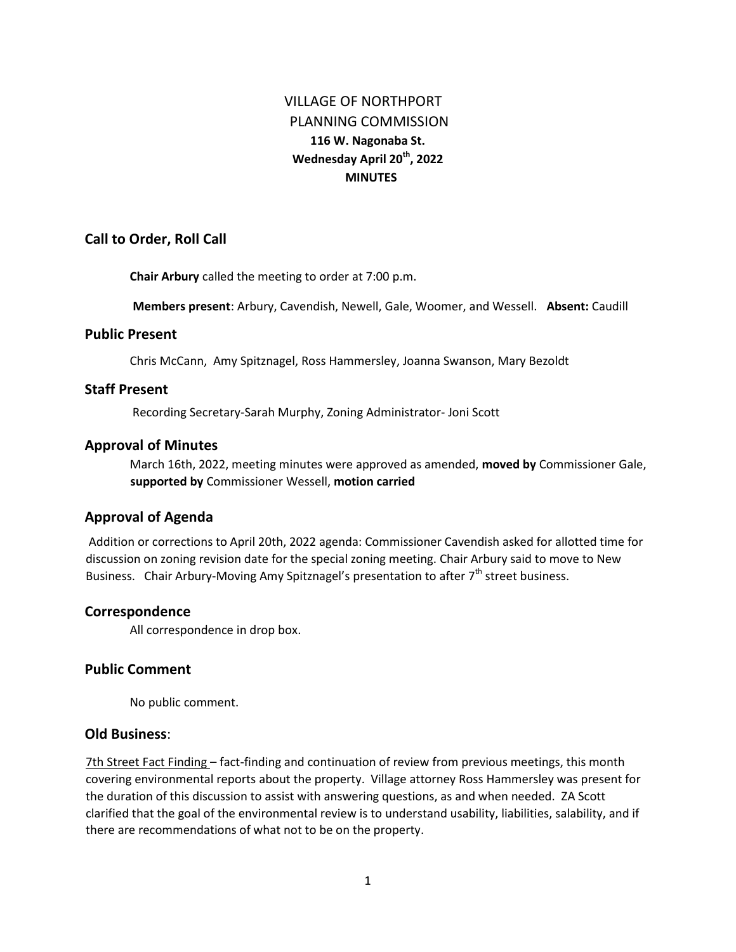# VILLAGE OF NORTHPORT PLANNING COMMISSION **116 W. Nagonaba St. Wednesday April 20th, 2022 MINUTES**

# **Call to Order, Roll Call**

**Chair Arbury** called the meeting to order at 7:00 p.m.

**Members present**: Arbury, Cavendish, Newell, Gale, Woomer, and Wessell. **Absent:** Caudill

# **Public Present**

Chris McCann, Amy Spitznagel, Ross Hammersley, Joanna Swanson, Mary Bezoldt

# **Staff Present**

Recording Secretary-Sarah Murphy, Zoning Administrator- Joni Scott

# **Approval of Minutes**

March 16th, 2022, meeting minutes were approved as amended, **moved by** Commissioner Gale, **supported by** Commissioner Wessell, **motion carried** 

# **Approval of Agenda**

Addition or corrections to April 20th, 2022 agenda: Commissioner Cavendish asked for allotted time for discussion on zoning revision date for the special zoning meeting. Chair Arbury said to move to New Business. Chair Arbury-Moving Amy Spitznagel's presentation to after  $7<sup>th</sup>$  street business.

# **Correspondence**

All correspondence in drop box.

# **Public Comment**

No public comment.

# **Old Business**:

7th Street Fact Finding – fact-finding and continuation of review from previous meetings, this month covering environmental reports about the property. Village attorney Ross Hammersley was present for the duration of this discussion to assist with answering questions, as and when needed. ZA Scott clarified that the goal of the environmental review is to understand usability, liabilities, salability, and if there are recommendations of what not to be on the property.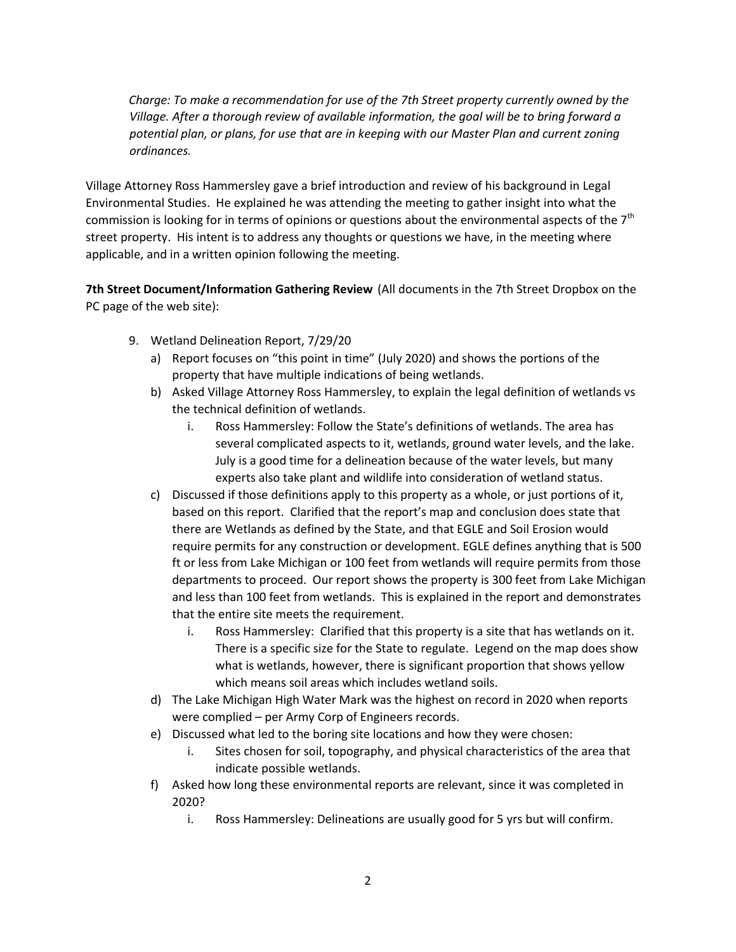*Charge: To make a recommendation for use of the 7th Street property currently owned by the Village. After a thorough review of available information, the goal will be to bring forward a potential plan, or plans, for use that are in keeping with our Master Plan and current zoning ordinances.*

Village Attorney Ross Hammersley gave a brief introduction and review of his background in Legal Environmental Studies. He explained he was attending the meeting to gather insight into what the commission is looking for in terms of opinions or questions about the environmental aspects of the  $7<sup>th</sup>$ street property. His intent is to address any thoughts or questions we have, in the meeting where applicable, and in a written opinion following the meeting.

**7th Street Document/Information Gathering Review** (All documents in the 7th Street Dropbox on the PC page of the web site):

- 9. Wetland Delineation Report, 7/29/20
	- a) Report focuses on "this point in time" (July 2020) and shows the portions of the property that have multiple indications of being wetlands.
	- b) Asked Village Attorney Ross Hammersley, to explain the legal definition of wetlands vs the technical definition of wetlands.
		- i. Ross Hammersley: Follow the State's definitions of wetlands. The area has several complicated aspects to it, wetlands, ground water levels, and the lake. July is a good time for a delineation because of the water levels, but many experts also take plant and wildlife into consideration of wetland status.
	- c) Discussed if those definitions apply to this property as a whole, or just portions of it, based on this report. Clarified that the report's map and conclusion does state that there are Wetlands as defined by the State, and that EGLE and Soil Erosion would require permits for any construction or development. EGLE defines anything that is 500 ft or less from Lake Michigan or 100 feet from wetlands will require permits from those departments to proceed. Our report shows the property is 300 feet from Lake Michigan and less than 100 feet from wetlands. This is explained in the report and demonstrates that the entire site meets the requirement.
		- i. Ross Hammersley: Clarified that this property is a site that has wetlands on it. There is a specific size for the State to regulate. Legend on the map does show what is wetlands, however, there is significant proportion that shows yellow which means soil areas which includes wetland soils.
	- d) The Lake Michigan High Water Mark was the highest on record in 2020 when reports were complied – per Army Corp of Engineers records.
	- e) Discussed what led to the boring site locations and how they were chosen:
		- i. Sites chosen for soil, topography, and physical characteristics of the area that indicate possible wetlands.
	- f) Asked how long these environmental reports are relevant, since it was completed in 2020?
		- i. Ross Hammersley: Delineations are usually good for 5 yrs but will confirm.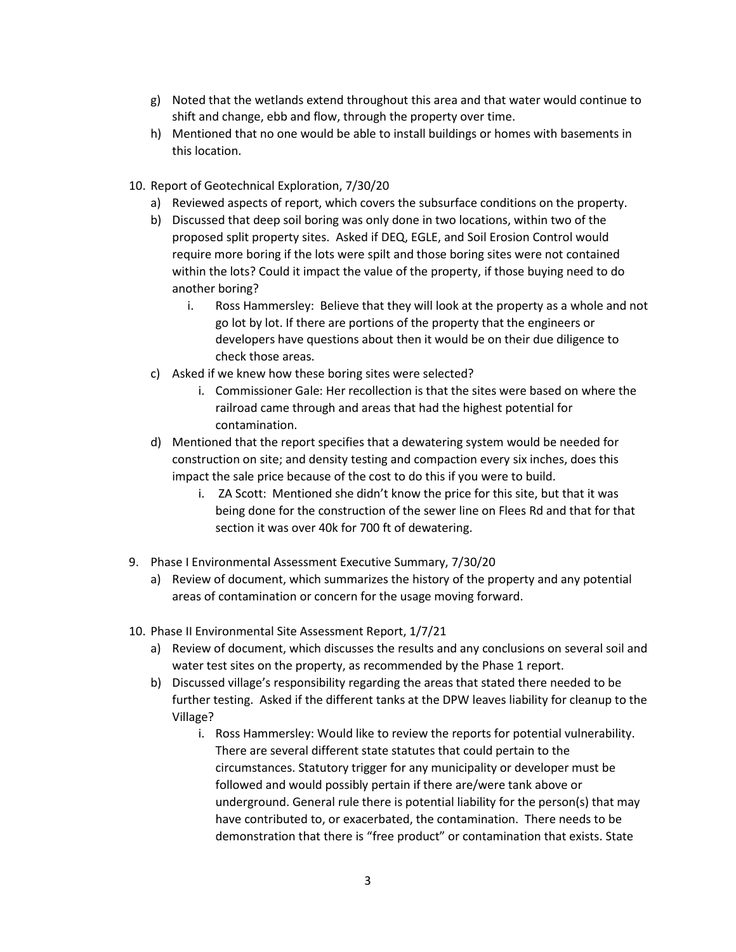- g) Noted that the wetlands extend throughout this area and that water would continue to shift and change, ebb and flow, through the property over time.
- h) Mentioned that no one would be able to install buildings or homes with basements in this location.
- 10. Report of Geotechnical Exploration, 7/30/20
	- a) Reviewed aspects of report, which covers the subsurface conditions on the property.
	- b) Discussed that deep soil boring was only done in two locations, within two of the proposed split property sites. Asked if DEQ, EGLE, and Soil Erosion Control would require more boring if the lots were spilt and those boring sites were not contained within the lots? Could it impact the value of the property, if those buying need to do another boring?
		- i. Ross Hammersley: Believe that they will look at the property as a whole and not go lot by lot. If there are portions of the property that the engineers or developers have questions about then it would be on their due diligence to check those areas.
	- c) Asked if we knew how these boring sites were selected?
		- i. Commissioner Gale: Her recollection is that the sites were based on where the railroad came through and areas that had the highest potential for contamination.
	- d) Mentioned that the report specifies that a dewatering system would be needed for construction on site; and density testing and compaction every six inches, does this impact the sale price because of the cost to do this if you were to build.
		- i. ZA Scott: Mentioned she didn't know the price for this site, but that it was being done for the construction of the sewer line on Flees Rd and that for that section it was over 40k for 700 ft of dewatering.
- 9. Phase I Environmental Assessment Executive Summary, 7/30/20
	- a) Review of document, which summarizes the history of the property and any potential areas of contamination or concern for the usage moving forward.
- 10. Phase II Environmental Site Assessment Report, 1/7/21
	- a) Review of document, which discusses the results and any conclusions on several soil and water test sites on the property, as recommended by the Phase 1 report.
	- b) Discussed village's responsibility regarding the areas that stated there needed to be further testing. Asked if the different tanks at the DPW leaves liability for cleanup to the Village?
		- i. Ross Hammersley: Would like to review the reports for potential vulnerability. There are several different state statutes that could pertain to the circumstances. Statutory trigger for any municipality or developer must be followed and would possibly pertain if there are/were tank above or underground. General rule there is potential liability for the person(s) that may have contributed to, or exacerbated, the contamination. There needs to be demonstration that there is "free product" or contamination that exists. State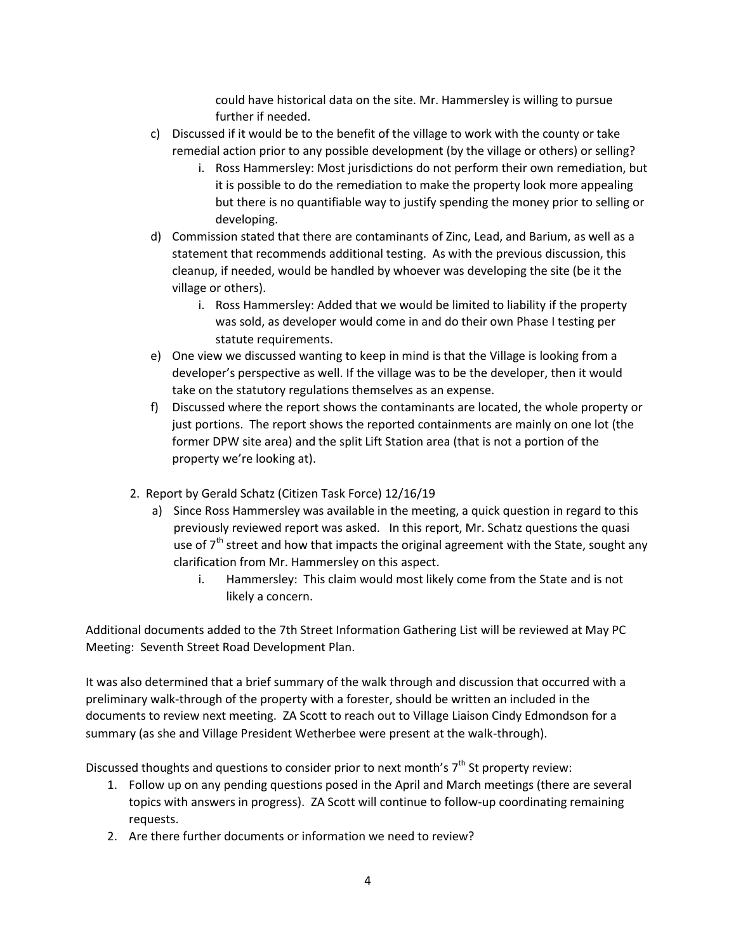could have historical data on the site. Mr. Hammersley is willing to pursue further if needed.

- c) Discussed if it would be to the benefit of the village to work with the county or take remedial action prior to any possible development (by the village or others) or selling?
	- i. Ross Hammersley: Most jurisdictions do not perform their own remediation, but it is possible to do the remediation to make the property look more appealing but there is no quantifiable way to justify spending the money prior to selling or developing.
- d) Commission stated that there are contaminants of Zinc, Lead, and Barium, as well as a statement that recommends additional testing. As with the previous discussion, this cleanup, if needed, would be handled by whoever was developing the site (be it the village or others).
	- i. Ross Hammersley: Added that we would be limited to liability if the property was sold, as developer would come in and do their own Phase I testing per statute requirements.
- e) One view we discussed wanting to keep in mind is that the Village is looking from a developer's perspective as well. If the village was to be the developer, then it would take on the statutory regulations themselves as an expense.
- f) Discussed where the report shows the contaminants are located, the whole property or just portions. The report shows the reported containments are mainly on one lot (the former DPW site area) and the split Lift Station area (that is not a portion of the property we're looking at).
- 2. Report by Gerald Schatz (Citizen Task Force) 12/16/19
	- a) Since Ross Hammersley was available in the meeting, a quick question in regard to this previously reviewed report was asked. In this report, Mr. Schatz questions the quasi use of  $7<sup>th</sup>$  street and how that impacts the original agreement with the State, sought any clarification from Mr. Hammersley on this aspect.
		- i. Hammersley: This claim would most likely come from the State and is not likely a concern.

Additional documents added to the 7th Street Information Gathering List will be reviewed at May PC Meeting: Seventh Street Road Development Plan.

It was also determined that a brief summary of the walk through and discussion that occurred with a preliminary walk-through of the property with a forester, should be written an included in the documents to review next meeting. ZA Scott to reach out to Village Liaison Cindy Edmondson for a summary (as she and Village President Wetherbee were present at the walk-through).

Discussed thoughts and questions to consider prior to next month's  $7<sup>th</sup>$  St property review:

- 1. Follow up on any pending questions posed in the April and March meetings (there are several topics with answers in progress). ZA Scott will continue to follow-up coordinating remaining requests.
- 2. Are there further documents or information we need to review?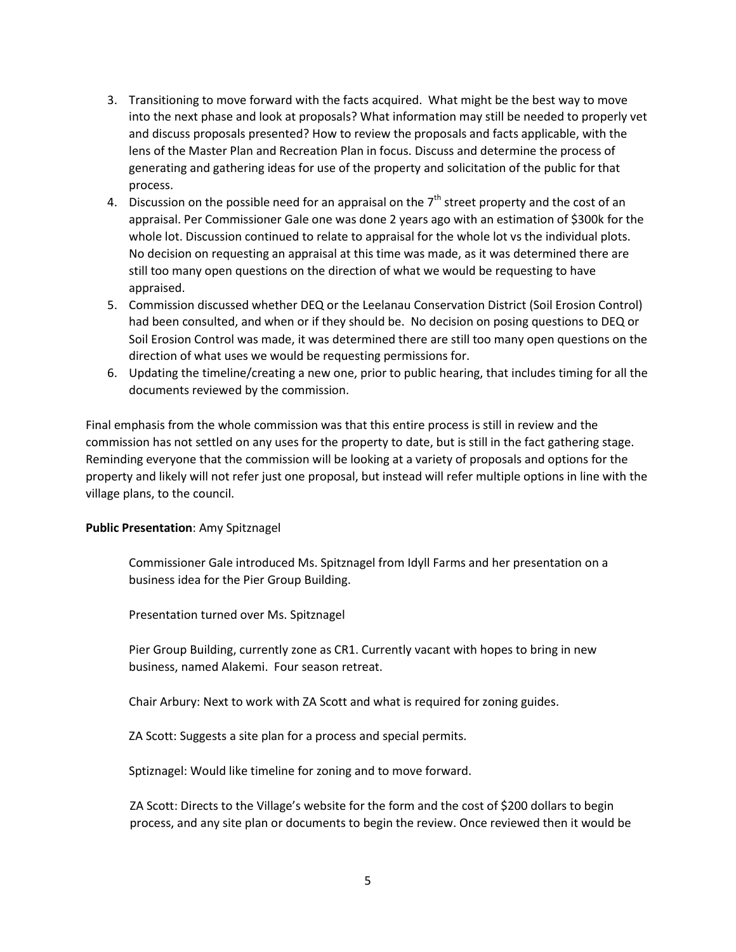- 3. Transitioning to move forward with the facts acquired. What might be the best way to move into the next phase and look at proposals? What information may still be needed to properly vet and discuss proposals presented? How to review the proposals and facts applicable, with the lens of the Master Plan and Recreation Plan in focus. Discuss and determine the process of generating and gathering ideas for use of the property and solicitation of the public for that process.
- 4. Discussion on the possible need for an appraisal on the  $7<sup>th</sup>$  street property and the cost of an appraisal. Per Commissioner Gale one was done 2 years ago with an estimation of \$300k for the whole lot. Discussion continued to relate to appraisal for the whole lot vs the individual plots. No decision on requesting an appraisal at this time was made, as it was determined there are still too many open questions on the direction of what we would be requesting to have appraised.
- 5. Commission discussed whether DEQ or the Leelanau Conservation District (Soil Erosion Control) had been consulted, and when or if they should be. No decision on posing questions to DEQ or Soil Erosion Control was made, it was determined there are still too many open questions on the direction of what uses we would be requesting permissions for.
- 6. Updating the timeline/creating a new one, prior to public hearing, that includes timing for all the documents reviewed by the commission.

Final emphasis from the whole commission was that this entire process is still in review and the commission has not settled on any uses for the property to date, but is still in the fact gathering stage. Reminding everyone that the commission will be looking at a variety of proposals and options for the property and likely will not refer just one proposal, but instead will refer multiple options in line with the village plans, to the council.

# **Public Presentation**: Amy Spitznagel

Commissioner Gale introduced Ms. Spitznagel from Idyll Farms and her presentation on a business idea for the Pier Group Building.

Presentation turned over Ms. Spitznagel

Pier Group Building, currently zone as CR1. Currently vacant with hopes to bring in new business, named Alakemi. Four season retreat.

Chair Arbury: Next to work with ZA Scott and what is required for zoning guides.

ZA Scott: Suggests a site plan for a process and special permits.

Sptiznagel: Would like timeline for zoning and to move forward.

ZA Scott: Directs to the Village's website for the form and the cost of \$200 dollars to begin process, and any site plan or documents to begin the review. Once reviewed then it would be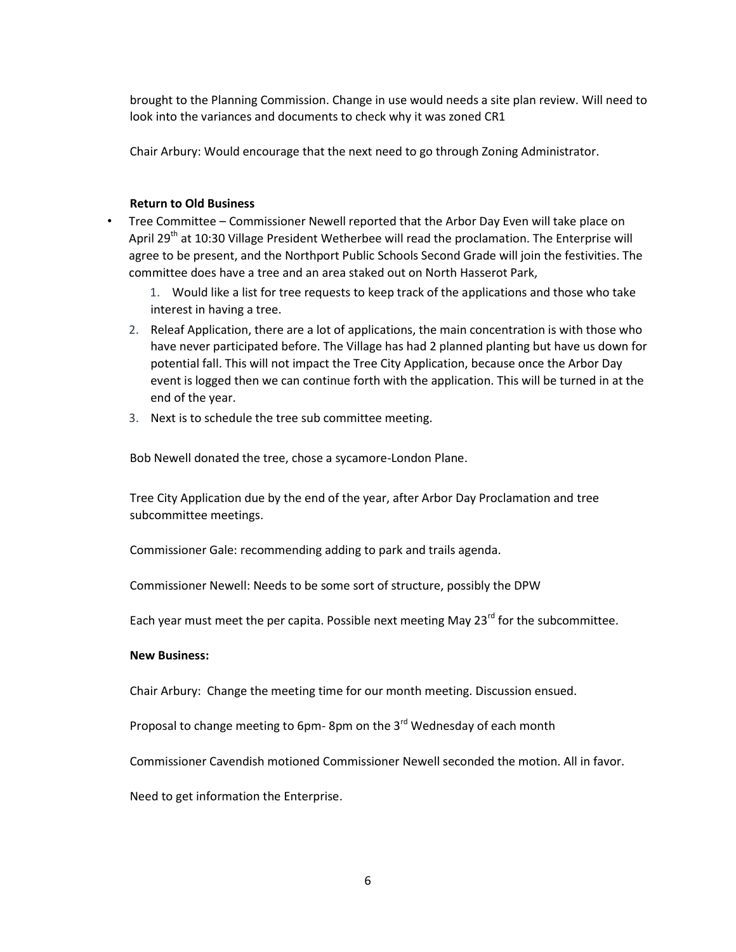brought to the Planning Commission. Change in use would needs a site plan review. Will need to look into the variances and documents to check why it was zoned CR1

Chair Arbury: Would encourage that the next need to go through Zoning Administrator.

### **Return to Old Business**

- Tree Committee Commissioner Newell reported that the Arbor Day Even will take place on April 29<sup>th</sup> at 10:30 Village President Wetherbee will read the proclamation. The Enterprise will agree to be present, and the Northport Public Schools Second Grade will join the festivities. The committee does have a tree and an area staked out on North Hasserot Park,
	- 1. Would like a list for tree requests to keep track of the applications and those who take interest in having a tree.
	- 2. Releaf Application, there are a lot of applications, the main concentration is with those who have never participated before. The Village has had 2 planned planting but have us down for potential fall. This will not impact the Tree City Application, because once the Arbor Day event is logged then we can continue forth with the application. This will be turned in at the end of the year.
	- 3. Next is to schedule the tree sub committee meeting.

Bob Newell donated the tree, chose a sycamore-London Plane.

Tree City Application due by the end of the year, after Arbor Day Proclamation and tree subcommittee meetings.

Commissioner Gale: recommending adding to park and trails agenda.

Commissioner Newell: Needs to be some sort of structure, possibly the DPW

Each year must meet the per capita. Possible next meeting May  $23^{rd}$  for the subcommittee.

### **New Business:**

Chair Arbury: Change the meeting time for our month meeting. Discussion ensued.

Proposal to change meeting to 6pm-8pm on the  $3<sup>rd</sup>$  Wednesday of each month

Commissioner Cavendish motioned Commissioner Newell seconded the motion. All in favor.

Need to get information the Enterprise.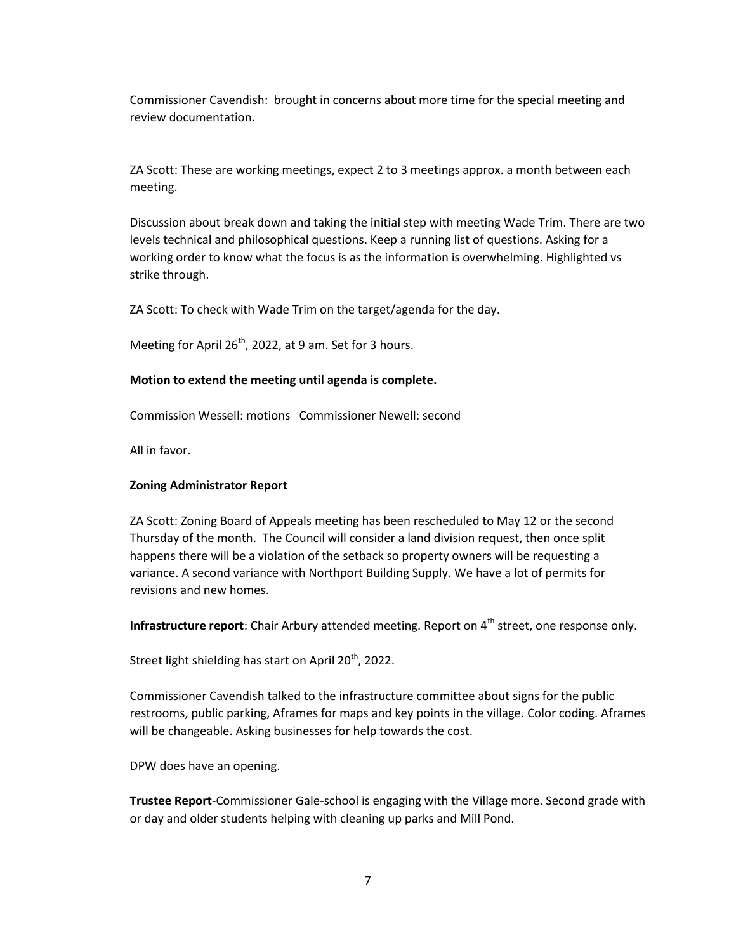Commissioner Cavendish: brought in concerns about more time for the special meeting and review documentation.

ZA Scott: These are working meetings, expect 2 to 3 meetings approx. a month between each meeting.

Discussion about break down and taking the initial step with meeting Wade Trim. There are two levels technical and philosophical questions. Keep a running list of questions. Asking for a working order to know what the focus is as the information is overwhelming. Highlighted vs strike through.

ZA Scott: To check with Wade Trim on the target/agenda for the day.

Meeting for April  $26<sup>th</sup>$ , 2022, at 9 am. Set for 3 hours.

### **Motion to extend the meeting until agenda is complete.**

Commission Wessell: motions Commissioner Newell: second

All in favor.

### **Zoning Administrator Report**

ZA Scott: Zoning Board of Appeals meeting has been rescheduled to May 12 or the second Thursday of the month. The Council will consider a land division request, then once split happens there will be a violation of the setback so property owners will be requesting a variance. A second variance with Northport Building Supply. We have a lot of permits for revisions and new homes.

**Infrastructure report**: Chair Arbury attended meeting. Report on 4<sup>th</sup> street, one response only.

Street light shielding has start on April 20<sup>th</sup>, 2022.

Commissioner Cavendish talked to the infrastructure committee about signs for the public restrooms, public parking, Aframes for maps and key points in the village. Color coding. Aframes will be changeable. Asking businesses for help towards the cost.

DPW does have an opening.

**Trustee Report**-Commissioner Gale-school is engaging with the Village more. Second grade with or day and older students helping with cleaning up parks and Mill Pond.